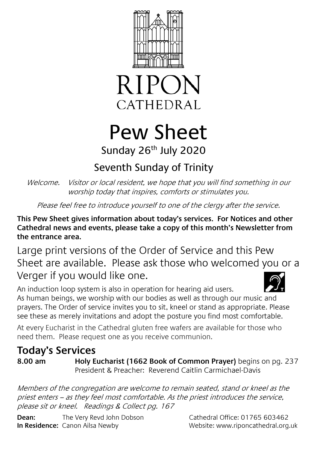



# Pew Sheet Sunday 26<sup>th</sup> July 2020

## Seventh Sunday of Trinity

Welcome. Visitor or local resident, we hope that you will find something in our worship today that inspires, comforts or stimulates you.

Please feel free to introduce yourself to one of the clergy after the service.

**This Pew Sheet gives information about today's services. For Notices and other Cathedral news and events, please take a copy of this month's Newsletter from the entrance area.** 

Large print versions of the Order of Service and this Pew Sheet are available. Please ask those who welcomed you or a Verger if you would like one.

An induction loop system is also in operation for hearing aid users. As human beings, we worship with our bodies as well as through our music and prayers. The Order of service invites you to sit, kneel or stand as appropriate. Please see these as merely invitations and adopt the posture you find most comfortable.

At every Eucharist in the Cathedral gluten free wafers are available for those who need them. Please request one as you receive communion.

### **Today's Services**

**8.00 am Holy Eucharist (1662 Book of Common Prayer)** begins on pg. 237 President & Preacher: Reverend Caitlin Carmichael-Davis

Members of the congregation are welcome to remain seated, stand or kneel as the priest enters – as they feel most comfortable. As the priest introduces the service, please sit or kneel. Readings & Collect pg. 167

**Dean:** The Very Revd John Dobson Cathedral Office: 01765 603462 **In Residence:** Canon Ailsa Newby Website: www.riponcathedral.org.uk